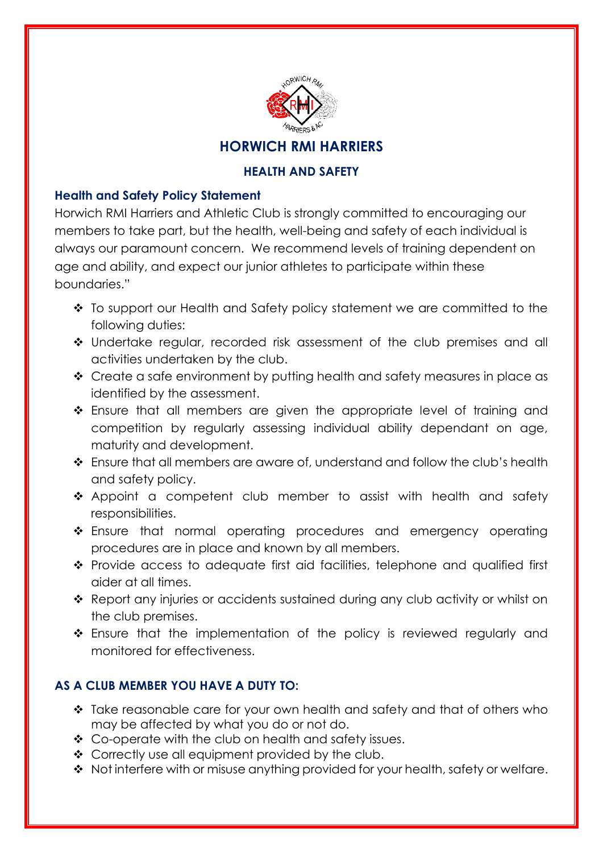

## **HEALTH AND SAFETY**

## **Health and Safety Policy Statement**

Horwich RMI Harriers and Athletic Club is strongly committed to encouraging our members to take part, but the health, well-being and safety of each individual is always our paramount concern. We recommend levels of training dependent on age and ability, and expect our junior athletes to participate within these boundaries."

- \* To support our Health and Safety policy statement we are committed to the following duties:
- Undertake regular, recorded risk assessment of the club premises and all activities undertaken by the club.
- Create a safe environment by putting health and safety measures in place as identified by the assessment.
- Ensure that all members are given the appropriate level of training and competition by regularly assessing individual ability dependant on age, maturity and development.
- Ensure that all members are aware of, understand and follow the club's health and safety policy.
- \* Appoint a competent club member to assist with health and safety responsibilities.
- \* Ensure that normal operating procedures and emergency operating procedures are in place and known by all members.
- Provide access to adequate first aid facilities, telephone and qualified first aider at all times.
- \* Report any injuries or accidents sustained during any club activity or whilst on the club premises.
- $\cdot$  Ensure that the implementation of the policy is reviewed regularly and monitored for effectiveness.

## **AS A CLUB MEMBER YOU HAVE A DUTY TO:**

- Take reasonable care for your own health and safety and that of others who may be affected by what you do or not do.
- ❖ Co-operate with the club on health and safety issues.
- ❖ Correctly use all equipment provided by the club.
- $\triangle$  Not interfere with or misuse anything provided for your health, safety or welfare.